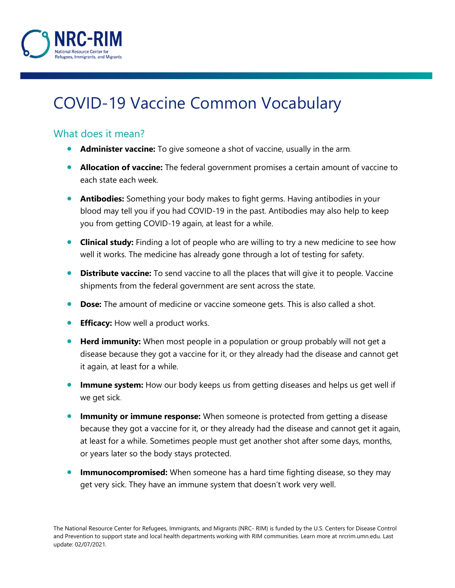

## COVID-19 Vaccine Common Vocabulary

## What does it mean?

- **Administer vaccine:** To give someone a shot of vaccine, usually in the arm.
- **Allocation of vaccine:** The federal government promises a certain amount of vaccine to each state each week.
- **Antibodies:** Something your body makes to fight germs. Having antibodies in your blood may tell you if you had COVID-19 in the past. Antibodies may also help to keep you from getting COVID-19 again, at least for a while.
- **Clinical study:** Finding a lot of people who are willing to try a new medicine to see how well it works. The medicine has already gone through a lot of testing for safety.
- **Distribute vaccine:** To send vaccine to all the places that will give it to people. Vaccine shipments from the federal government are sent across the state.
- **Dose:** The amount of medicine or vaccine someone gets. This is also called a shot.
- **Efficacy:** How well a product works.
- **Herd immunity:** When most people in a population or group probably will not get a disease because they got a vaccine for it, or they already had the disease and cannot get it again, at least for a while.
- **Immune system:** How our body keeps us from getting diseases and helps us get well if we get sick.
- **Immunity or immune response:** When someone is protected from getting a disease because they got a vaccine for it, or they already had the disease and cannot get it again, at least for a while. Sometimes people must get another shot after some days, months, or years later so the body stays protected.
- **Immunocompromised:** When someone has a hard time fighting disease, so they may get very sick. They have an immune system that doesn't work very well.

The National Resource Center for Refugees, Immigrants, and Migrants (NRC- RIM) is funded by the U.S. Centers for Disease Control and Prevention to support state and local health departments working with RIM communities. Learn more at nrcrim.umn.edu. Last update: 02/07/2021.